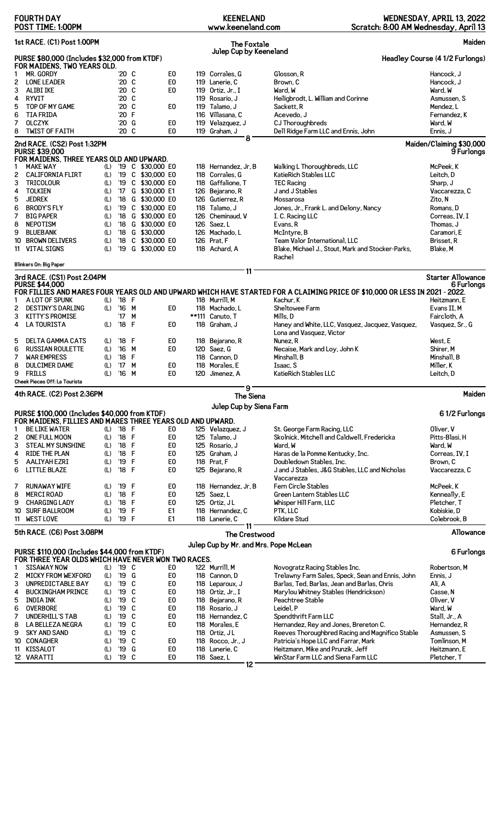|                                                               | <b>FOURTH DAY</b><br>POST TIME: 1:00PM                                                               |            |                                |       |                             |  | <b>KEENELAND</b><br>www.keeneland.com |                                       | Scratch: 8:00 AM Wednesday, April 13                                                                                        | WEDNESDAY, APRIL 13, 2022              |
|---------------------------------------------------------------|------------------------------------------------------------------------------------------------------|------------|--------------------------------|-------|-----------------------------|--|---------------------------------------|---------------------------------------|-----------------------------------------------------------------------------------------------------------------------------|----------------------------------------|
|                                                               | 1st RACE. (C1) Post 1:00PM                                                                           |            |                                |       |                             |  |                                       | <b>The Foxtale</b>                    |                                                                                                                             | Maiden                                 |
|                                                               | PURSE \$80,000 (Includes \$32,000 from KTDF)<br>FOR MAIDENS, TWO YEARS OLD.                          |            |                                |       |                             |  |                                       | Julep Cup by Keeneland                |                                                                                                                             | Headley Course (4 1/2 Furlongs)        |
| 1                                                             | MR. GORDY                                                                                            |            |                                | '20 C | E <sub>0</sub>              |  | 119 Corrales, G                       | Glosson, R                            |                                                                                                                             | Hancock, J                             |
| 2                                                             | <b>LONE LEADER</b>                                                                                   |            |                                | '20 C | E <sub>0</sub>              |  | 119 Lanerie, C                        | Brown, C                              |                                                                                                                             | Hancock, J                             |
| 3                                                             | <b>ALIBI IKE</b>                                                                                     |            |                                | '20 C | E0                          |  | 119 Ortiz, Jr., I                     | Ward, W                               |                                                                                                                             | Ward, W                                |
| 4                                                             | <b>RYVIT</b>                                                                                         |            | '20 C                          |       |                             |  | 119 Rosario, J                        |                                       | Heiligbrodt, L. William and Corinne                                                                                         | Asmussen, S                            |
| 5                                                             | TOP OF MY GAME                                                                                       |            |                                | '20 C | E <sub>0</sub>              |  | 119 Talamo, J                         | Sackett, R                            |                                                                                                                             | Mendez, L                              |
| 6                                                             | <b>TIA FRIDA</b>                                                                                     |            | '20 F                          |       |                             |  | 116 Villasana, C                      | Acevedo, J                            |                                                                                                                             | Fernandez, K                           |
| 7                                                             | <b>OLCZYK</b>                                                                                        |            | $20^{\circ}$                   | G     | E0<br>E <sub>0</sub>        |  | 119 Velazquez, J                      |                                       | CJ Thoroughbreds                                                                                                            | Ward, W                                |
| 8                                                             | <b>TWIST OF FAITH</b>                                                                                |            |                                | '20 C |                             |  | 119 Graham, J                         | 8                                     | Dell Ridge Farm LLC and Ennis, John                                                                                         | Ennis, J                               |
|                                                               | 2nd RACE. (CS2) Post 1:32PM<br><b>PURSE \$39,000</b><br>FOR MAIDENS, THREE YEARS OLD AND UPWARD.     |            |                                |       |                             |  |                                       |                                       |                                                                                                                             | Maiden/Claiming \$30,000<br>9 Furlongs |
| 1                                                             | <b>MAKE WAY</b>                                                                                      | (L)        |                                |       | '19 C \$30,000 E0           |  | 118 Hernandez, Jr, B                  |                                       | Walking L Thoroughbreds, LLC                                                                                                | McPeek.K                               |
| 2                                                             | <b>CALIFORNIA FLIRT</b>                                                                              | (L)        |                                |       | '19 C \$30,000 E0           |  | 118 Corrales, G                       |                                       | KatieRich Stables LLC                                                                                                       | Leitch, D                              |
| 3                                                             | TRICOLOUR                                                                                            | (L)        | $^{\prime}19$                  |       | C \$30,000 E0               |  | 118 Gaffalione, T                     | <b>TEC Racing</b>                     |                                                                                                                             | Sharp, J                               |
| 4                                                             | <b>TOLKIEN</b>                                                                                       | (L)        | $^{\prime}17$                  |       | G \$30,000 E1               |  | 126 Bejarano, R                       |                                       | J and J Stables                                                                                                             | Vaccarezza, C                          |
| 5                                                             | <b>JEDREK</b>                                                                                        | (L)        | $^{\prime}18$                  |       | G \$30,000 EO               |  | 126 Gutierrez.R                       | Mossarosa                             |                                                                                                                             | Zito, N                                |
| 6                                                             | <b>BRODY'S FLY</b>                                                                                   | (L)        | '19                            |       | C \$30,000 E0               |  | 118 Talamo, J                         |                                       | Jones, Jr., Frank L. and Delony, Nancy                                                                                      | Romans, D                              |
| 7                                                             | <b>BIG PAPER</b>                                                                                     | (L)        | $^{\prime}18$                  |       | G \$30,000 EO               |  | 126 Cheminaud, V                      |                                       | I. C. Racing LLC                                                                                                            | Correas, IV, I                         |
| 8                                                             | <b>NEPOTISM</b>                                                                                      | (L)        | $^{\prime}18$                  |       | G \$30,000 E0               |  | 126 Saez, L                           | Evans, R                              |                                                                                                                             | Thomas, J                              |
| 9                                                             | <b>BLUEBANK</b><br><b>BROWN DELIVERS</b>                                                             | (L)<br>(L) | $^{\prime}18$<br>$^{\prime}18$ |       | G \$30,000<br>C \$30,000 E0 |  | 126 Machado, L<br>126 Prat, F         | McIntyre, B                           | Team Valor International, LLC                                                                                               | Caramori, E<br>Brisset, R              |
| 10<br>11                                                      | <b>VITAL SIGNS</b>                                                                                   | (L)        | '19                            |       | G \$30,000 E0               |  | 118 Achard, A                         |                                       | Blake, Michael J., Stout, Mark and Stocker-Parks,                                                                           | Blake, M                               |
|                                                               |                                                                                                      |            |                                |       |                             |  |                                       | Rachel                                |                                                                                                                             |                                        |
|                                                               | Blinkers On: Big Paper                                                                               |            |                                |       |                             |  |                                       |                                       |                                                                                                                             |                                        |
| 11<br>3rd RACE. (CS1) Post 2:04PM<br><b>Starter Allowance</b> |                                                                                                      |            |                                |       |                             |  |                                       |                                       |                                                                                                                             |                                        |
|                                                               | <b>PURSE \$44,000</b>                                                                                |            |                                |       |                             |  |                                       |                                       |                                                                                                                             | 6 Furlongs                             |
| 1                                                             | A LOT OF SPUNK                                                                                       | (L)        | $'18$ F                        |       |                             |  | 118 Murrill, M                        | Kachur, K                             | FOR FILLIES AND MARES FOUR YEARS OLD AND UPWARD WHICH HAVE STARTED FOR A CLAIMING PRICE OF \$10,000 OR LESS IN 2021 - 2022. | Heitzmann, E                           |
| 2                                                             | <b>DESTINY'S DARLING</b>                                                                             | (L)        | '16 M                          |       | E <sub>0</sub>              |  | 118 Machado, L                        |                                       | Sheltowee Farm                                                                                                              | Evans II, M                            |
| 3                                                             | <b>KITTY'S PROMISE</b>                                                                               |            | '17                            | M     |                             |  | **111 Canuto, T                       | Mills, D                              |                                                                                                                             | Faircloth, A                           |
| 4                                                             | <b>LA TOURISTA</b>                                                                                   | (L)        | $^{\prime}18$                  | F     | E <sub>0</sub>              |  | 118 Graham. J                         |                                       | Haney and White, LLC, Vasquez, Jacquez, Vasquez,                                                                            | Vasquez, Sr., G                        |
|                                                               |                                                                                                      |            |                                |       |                             |  |                                       |                                       | Lona and Vasquez, Victor                                                                                                    |                                        |
| 5                                                             | <b>DELTA GAMMA CATS</b>                                                                              | (L)        | '18 F                          |       | E0                          |  | 118 Bejarano, R                       | Nunez.R                               |                                                                                                                             | West, E                                |
| 6                                                             | <b>RUSSIAN ROULETTE</b>                                                                              | (L)        | $^{\prime}16$                  | M     | E <sub>0</sub>              |  | 120 Saez, G                           |                                       | Necaise, Mark and Loy, John K                                                                                               | Shirer, M                              |
| 7                                                             | <b>WAR EMPRESS</b>                                                                                   | (L)        | $^{\prime}18$                  | F     |                             |  | 118 Cannon, D                         | Minshall, B                           |                                                                                                                             | Minshall, B                            |
| 8                                                             | <b>DULCIMER DAME</b>                                                                                 | (L)        | '17 M                          |       | E0                          |  | 118 Morales, E                        | Isaac, S                              |                                                                                                                             | Miller, K                              |
| 9                                                             | FRILLS                                                                                               | (L)        | '16 M                          |       | E <sub>0</sub>              |  | 120 Jimenez, A                        |                                       | KatieRich Stables LLC                                                                                                       | Leitch, D                              |
|                                                               | Cheek Pieces Off: La Tourista                                                                        |            |                                |       |                             |  |                                       | 9                                     |                                                                                                                             |                                        |
|                                                               | 4th RACE. (C2) Post 2:36PM                                                                           |            |                                |       |                             |  |                                       | The Siena                             |                                                                                                                             | Maiden                                 |
|                                                               | PURSE \$100,000 (Includes \$40,000 from KTDF)                                                        |            |                                |       |                             |  |                                       | Julep Cup by Siena Farm               |                                                                                                                             | 61/2 Furlongs                          |
|                                                               | FOR MAIDENS, FILLIES AND MARES THREE YEARS OLD AND UPWARD.                                           |            |                                |       |                             |  |                                       |                                       |                                                                                                                             |                                        |
| 1                                                             | <b>BE LIKE WATER</b>                                                                                 | (L)        | $'18$ F                        |       | E0                          |  | 125 Velazquez, J                      |                                       | St. George Farm Racing, LLC                                                                                                 | Oliver, V                              |
| 2                                                             | <b>ONE FULL MOON</b>                                                                                 | (L)        | $^{\prime}18$                  | F     | E <sub>0</sub>              |  | 125 Talamo, J                         |                                       | Skolnick, Mitchell and Caldwell, Fredericka                                                                                 | Pitts-Blasi, H                         |
| 3                                                             | <b>STEAL MY SUNSHINE</b>                                                                             | (L)        | $^{\prime}18$                  | F     | E <sub>0</sub>              |  | 125 Rosario, J                        | Ward, W                               |                                                                                                                             | Ward, W                                |
| 4                                                             | <b>RIDE THE PLAN</b>                                                                                 | (L)        | '18                            | F     | E <sub>0</sub>              |  | 125 Graham, J                         |                                       | Haras de la Pomme Kentucky, Inc.                                                                                            | Correas, IV, I                         |
| 5                                                             | <b>AALIYAH EZRI</b>                                                                                  | (L)        | '19                            | F     | E <sub>0</sub>              |  | 118 Prat, F                           |                                       | Doubledown Stables, Inc.                                                                                                    | Brown, C                               |
| 6                                                             | <b>LITTLE BLAZE</b>                                                                                  | (L)        | '18                            | F     | E <sub>0</sub>              |  | 125 Bejarano, R                       | Vaccarezza                            | J and J Stables, J&G Stables, LLC and Nicholas                                                                              | Vaccarezza, C                          |
| 7                                                             | <b>RUNAWAY WIFE</b>                                                                                  | (L)        | '19                            | F     | E0                          |  | 118 Hernandez, Jr, B                  |                                       | Fern Circle Stables                                                                                                         | McPeek, K                              |
| 8                                                             | <b>MERCI ROAD</b>                                                                                    | (L)        | $^{\prime}18$                  | F     | E <sub>0</sub>              |  | 125 Saez, L                           |                                       | Green Lantern Stables LLC                                                                                                   | Kenneally, E                           |
| 9                                                             | <b>CHARGING LADY</b>                                                                                 | (L)        | '18                            | F     | E <sub>0</sub>              |  | 125 Ortiz, JL                         |                                       | Whisper Hill Farm, LLC                                                                                                      | Pletcher, T                            |
| 10                                                            | <b>SURF BALLROOM</b>                                                                                 | (L)        | '19                            | F     | E1                          |  | 118 Hernandez, C                      | PTK, LLC                              |                                                                                                                             | Kobiskie, D                            |
| 11                                                            | <b>WEST LOVE</b>                                                                                     | (L)        | '19 F                          |       | E1                          |  | 118 Lanerie, C                        | Kildare Stud                          |                                                                                                                             | Colebrook, B                           |
|                                                               | 5th RACE. (C6) Post 3:08PM                                                                           |            |                                |       |                             |  |                                       | 11<br><b>The Crestwood</b>            |                                                                                                                             | Allowance                              |
|                                                               |                                                                                                      |            |                                |       |                             |  |                                       | Julep Cup by Mr. and Mrs. Pope McLean |                                                                                                                             |                                        |
|                                                               | PURSE \$110,000 (Includes \$44,000 from KTDF)<br>FOR THREE YEAR OLDS WHICH HAVE NEVER WON TWO RACES. |            |                                |       |                             |  |                                       |                                       |                                                                                                                             | 6 Furlongs                             |
| 1                                                             | <b>SISAWAY NOW</b>                                                                                   | (L)        | '19 C                          |       | E0                          |  | 122 Murrill, M                        |                                       | Novogratz Racing Stables Inc.                                                                                               | Robertson, M                           |
| 2                                                             | <b>MICKY FROM WEXFORD</b>                                                                            | (L)        | '19                            | G     | E <sub>0</sub>              |  | 118 Cannon, D                         |                                       | Trelawny Farm Sales, Speck, Sean and Ennis, John                                                                            | Ennis, J                               |
| 3                                                             | UNPREDICTABLE BAY                                                                                    | (L)        | '19                            | C     | E <sub>0</sub>              |  | 118 Leparoux, J                       |                                       | Barlas, Ted, Barlas, Jean and Barlas, Chris                                                                                 | Ali, A                                 |
| 4                                                             | <b>BUCKINGHAM PRINCE</b>                                                                             | (L)        | '19                            | C     | E <sub>0</sub>              |  | 118 Ortiz, Jr., I                     |                                       | Marylou Whitney Stables (Hendrickson)                                                                                       | Casse, N                               |
| 5                                                             | <b>INDIA INK</b>                                                                                     | (L)        | '19                            | C     | E <sub>0</sub>              |  | 118 Bejarano, R                       |                                       | Peachtree Stable                                                                                                            | Oliver, V                              |
| 6                                                             | OVERBORE                                                                                             | (L)        | '19                            | C     | E <sub>0</sub>              |  | 118 Rosario, J                        | Leidel, P                             |                                                                                                                             | Ward, W                                |
| 7                                                             | <b>UNDERHILL'S TAB</b>                                                                               | (L)        | '19                            | C     | E <sub>0</sub>              |  | 118 Hernandez, C                      |                                       | Spendthrift Farm LLC                                                                                                        | Stall, Jr., A                          |
| 8                                                             | LA BELLEZA NEGRA                                                                                     | (L)        | '19                            | C     | E <sub>0</sub>              |  | 118 Morales, E                        |                                       | Hernandez, Rey and Jones, Brereton C.                                                                                       | Hernandez, R                           |
| 9                                                             | <b>SKY AND SAND</b>                                                                                  | (L)        | '19                            | C     |                             |  | 118 Ortiz, JL                         |                                       | Reeves Thoroughbred Racing and Magnifico Stable                                                                             | Asmussen, S                            |
| 10                                                            | <b>CONAGHER</b>                                                                                      | (L)        | '19                            | C     | E <sub>0</sub>              |  | 118 Rocco, Jr., J                     |                                       | Patricia's Hope LLC and Farrar, Mark                                                                                        | Tomlinson, M                           |
| 11                                                            | KISSALOT                                                                                             | (L)        | '19                            | G     | E <sub>0</sub>              |  | 118 Lanerie, C                        |                                       | Heitzmann, Mike and Prunzik, Jeff                                                                                           | Heitzmann, E                           |
|                                                               | 12 VARATTI                                                                                           | (L)        | '19 C                          |       | E <sub>0</sub>              |  | 118 Saez, L                           |                                       | WinStar Farm LLC and Siena Farm LLC                                                                                         | Pletcher, T                            |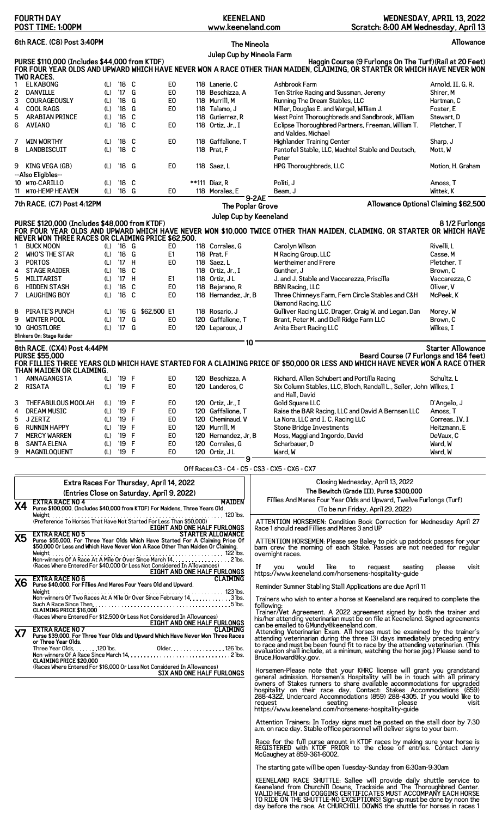|           | <b>FOURTH DAY</b><br>POST TIME: 1:00PM                                                                                                                            |            |                         |   |                                            |  | <b>KEENELAND</b><br>www.keeneland.com |                    |                                                                             | Scratch: 8:00 AM Wednesday, April 13                                                                                                              | WEDNESDAY, APRIL 13, 2022            |
|-----------|-------------------------------------------------------------------------------------------------------------------------------------------------------------------|------------|-------------------------|---|--------------------------------------------|--|---------------------------------------|--------------------|-----------------------------------------------------------------------------|---------------------------------------------------------------------------------------------------------------------------------------------------|--------------------------------------|
|           | 6th RACE. (C8) Post 3:40PM                                                                                                                                        |            |                         |   |                                            |  |                                       | <b>The Mineola</b> |                                                                             |                                                                                                                                                   | Allowance                            |
|           |                                                                                                                                                                   |            |                         |   |                                            |  | Julep Cup by Mineola Farm             |                    |                                                                             |                                                                                                                                                   |                                      |
|           | PURSE \$110,000 (Includes \$44,000 from KTDF)                                                                                                                     |            |                         |   |                                            |  |                                       |                    |                                                                             | Haggin Course (9 Furlongs On The Turf) (Rail at 20 Feet)                                                                                          |                                      |
|           |                                                                                                                                                                   |            |                         |   |                                            |  |                                       |                    |                                                                             | FOR FOUR YEAR OLDS AND UPWARD WHICH HAVE NEVER WON A RACE OTHER THAN MAIDEN, CLAIMING, OR STARTER OR WHICH HAVE NEVER WON                         |                                      |
|           | TWO RACES.                                                                                                                                                        |            |                         |   |                                            |  |                                       |                    |                                                                             |                                                                                                                                                   |                                      |
|           | <b>EL KABONG</b>                                                                                                                                                  | (L)        | $'18$ C                 |   | E <sub>0</sub>                             |  | 118 Lanerie. C                        |                    | Ashbrook Farm                                                               |                                                                                                                                                   | Arnold, II, G. R.                    |
| 2<br>3    | <b>DANVILLE</b><br><b>COURAGEOUSLY</b>                                                                                                                            | (L)        | '17 G<br>$^{\prime}18$  | G | E <sub>0</sub><br>E <sub>0</sub>           |  | 118 Beschizza, A<br>118 Murrill, M    |                    | Ten Strike Racing and Sussman, Jeremy                                       |                                                                                                                                                   | Shirer, M<br>Hartman, C              |
| 4         | <b>COOL RAGS</b>                                                                                                                                                  | (L)<br>(L) | $^{\prime}$ 18          | G | E0                                         |  | 118 Talamo, J                         |                    | Running The Dream Stables, LLC<br>Miller, Douglas E. and Wargel, William J. |                                                                                                                                                   | Foster, E                            |
| 5         | <b>ARABIAN PRINCE</b>                                                                                                                                             | (L)        | '18 C                   |   |                                            |  | 118 Gutierrez, R                      |                    |                                                                             | West Point Thoroughbreds and Sandbrook, William                                                                                                   | Stewart, D                           |
| 6         | <b>AVIANO</b>                                                                                                                                                     | (L)        | '18 C                   |   | E <sub>0</sub>                             |  | 118 Ortiz, Jr., I                     |                    |                                                                             | Eclipse Thoroughbred Partners, Freeman, William T.                                                                                                | Pletcher, T                          |
|           |                                                                                                                                                                   |            |                         |   |                                            |  |                                       |                    | and Valdes, Michael                                                         |                                                                                                                                                   |                                      |
| 7         | <b>WIN WORTHY</b>                                                                                                                                                 | (L)        | $'18$ C                 |   | E <sub>0</sub>                             |  | 118 Gaffalione. T                     |                    | <b>Highlander Training Center</b>                                           |                                                                                                                                                   | Sharp, J                             |
| 8         | LANDBISCUIT                                                                                                                                                       | (L)        | $'18$ C                 |   |                                            |  | 118 Prat, F                           |                    |                                                                             | Pantofel Stable, LLC, Wachtel Stable and Deutsch,                                                                                                 | Mott, W                              |
|           |                                                                                                                                                                   |            |                         |   |                                            |  |                                       |                    | Peter                                                                       |                                                                                                                                                   |                                      |
| 9         | KING VEGA (GB)                                                                                                                                                    | (L)        | '18 G                   |   | E0                                         |  | 118 Saez, L                           |                    | HPG Thoroughbreds, LLC                                                      |                                                                                                                                                   | Motion, H. Graham                    |
|           | --Also Eligibles--                                                                                                                                                |            |                         |   |                                            |  |                                       |                    |                                                                             |                                                                                                                                                   |                                      |
|           | 10 MTO-CARILLO                                                                                                                                                    | (L)        | $'18$ C                 |   |                                            |  | **111 Diaz, R                         |                    | Politi, J                                                                   |                                                                                                                                                   | Amoss, T                             |
|           | 11 MTO-HEMP HEAVEN                                                                                                                                                | (L)        | '18 G                   |   | E0                                         |  | 118 Morales, E                        |                    | Beam, J                                                                     |                                                                                                                                                   | Wittek. K                            |
|           | 7th RACE. (C7) Post 4:12PM                                                                                                                                        |            |                         |   |                                            |  | The Poplar Grove                      | 9-2AE              |                                                                             |                                                                                                                                                   | Allowance Optional Claiming \$62,500 |
|           |                                                                                                                                                                   |            |                         |   |                                            |  |                                       |                    |                                                                             |                                                                                                                                                   |                                      |
|           | PURSE \$120,000 (Includes \$48,000 from KTDF)                                                                                                                     |            |                         |   |                                            |  | Julep Cup by Keeneland                |                    |                                                                             |                                                                                                                                                   | 81/2 Furlongs                        |
|           |                                                                                                                                                                   |            |                         |   |                                            |  |                                       |                    |                                                                             | FOR FOUR YEAR OLDS AND UPWARD WHICH HAVE NEVER WON \$10,000 TWICE OTHER THAN MAIDEN, CLAIMING, OR STARTER OR WHICH HAVE                           |                                      |
|           | NEVER WON THREE RACES OR CLAIMING PRICE \$62,500.                                                                                                                 |            |                         |   |                                            |  |                                       |                    |                                                                             |                                                                                                                                                   |                                      |
| 1         | <b>BUCK MOON</b>                                                                                                                                                  |            | (L) '18 G               |   | E0                                         |  | 118 Corrales, G                       |                    | Carolyn Wilson                                                              |                                                                                                                                                   | Rivelli, L                           |
| 2         | WHO'S THE STAR                                                                                                                                                    | (L)        | '18 G                   |   | E <sub>1</sub>                             |  | 118 Prat, F                           |                    | M Racing Group, LLC                                                         |                                                                                                                                                   | Casse, M                             |
| 3         | <b>PORTOS</b>                                                                                                                                                     | (L)        | '17 H                   |   | E0                                         |  | 118 Saez.L                            |                    | Wertheimer and Frere                                                        |                                                                                                                                                   | Pletcher, T                          |
| 4         | <b>STAGE RAIDER</b>                                                                                                                                               | (L)        | $'18$ C                 |   |                                            |  | 118 Ortiz, Jr., I                     |                    | Gunther, J                                                                  |                                                                                                                                                   | Brown, C                             |
| 5         | MILITARIST                                                                                                                                                        | (L)        | '17 H                   |   | E1                                         |  | 118 Ortiz, JL                         |                    | J. and J. Stable and Vaccarezza, Priscilla                                  |                                                                                                                                                   | Vaccarezza, C                        |
| 6         | <b>HIDDEN STASH</b>                                                                                                                                               | (L)        | '18 C                   |   | E <sub>0</sub>                             |  | 118 Bejarano, R                       |                    | <b>BBN Racing, LLC</b>                                                      |                                                                                                                                                   | Oliver, V                            |
| 7         | <b>LAUGHING BOY</b>                                                                                                                                               | (L)        | '18 C                   |   | E0                                         |  | 118 Hernandez, Jr, B                  |                    |                                                                             | Three Chimneys Farm, Fern Circle Stables and C&H                                                                                                  | McPeek, K                            |
|           |                                                                                                                                                                   |            |                         |   |                                            |  |                                       |                    | Diamond Racing, LLC                                                         |                                                                                                                                                   |                                      |
| 8         | <b>PIRATE'S PUNCH</b>                                                                                                                                             | (L)        | $^{\prime}16$           |   | G \$62,500 E1                              |  | 118 Rosario, J                        |                    |                                                                             | Gulliver Racing LLC, Drager, Craig W. and Legan, Dan                                                                                              | Morey, W                             |
| 9<br>10   | <b>WINTER POOL</b><br><b>GHOSTLORE</b>                                                                                                                            | (L)<br>(L) | $^{\prime}$ 17<br>'17 G | G | E <sub>0</sub><br>E <sub>0</sub>           |  | 120 Gaffalione, T<br>120 Leparoux, J  |                    | Brant, Peter M. and Dell Ridge Farm LLC<br>Anita Ebert Racing LLC           |                                                                                                                                                   | Brown, C<br>Wilkes, I                |
|           | Blinkers On: Stage Raider                                                                                                                                         |            |                         |   |                                            |  |                                       |                    |                                                                             |                                                                                                                                                   |                                      |
|           |                                                                                                                                                                   |            |                         |   |                                            |  |                                       | 10                 |                                                                             |                                                                                                                                                   |                                      |
|           | 8th RACE. (CX4) Post 4:44PM<br><b>PURSE \$55,000</b>                                                                                                              |            |                         |   |                                            |  |                                       |                    |                                                                             | Beard Course (7 Furlongs and 184 feet)                                                                                                            | <b>Starter Allowance</b>             |
|           |                                                                                                                                                                   |            |                         |   |                                            |  |                                       |                    |                                                                             | FOR FILLIES THREE YEARS OLD WHICH HAVE STARTED FOR A CLAIMING PRICE OF \$50,000 OR LESS AND WHICH HAVE NEVER WON A RACE OTHER                     |                                      |
|           | THAN MAIDEN OR CLAIMING.                                                                                                                                          |            |                         |   |                                            |  |                                       |                    |                                                                             |                                                                                                                                                   |                                      |
|           | ANNAGANGSTA                                                                                                                                                       | (L)        | '19 F                   |   | E0                                         |  | 120 Beschizza, A                      |                    | Richard, Allen Schubert and Portilla Racing                                 |                                                                                                                                                   | Schultz, L                           |
| 2         | RISATA                                                                                                                                                            | (L)        | '19 F                   |   | E0                                         |  | 120 Landeros, C                       |                    |                                                                             | Six Column Stables, LLC, Bloch, Randall L., Seiler, John Wilkes, I                                                                                |                                      |
|           |                                                                                                                                                                   |            |                         |   |                                            |  |                                       |                    | and Hall, David                                                             |                                                                                                                                                   |                                      |
| З         | THEFABULOUS MOOLAH                                                                                                                                                | (L)        | '19 F                   |   | E0                                         |  | 120 Ortiz, Jr., I                     |                    | Gold Square LLC                                                             |                                                                                                                                                   | D'Angelo, J                          |
| 4         | DREAM MUSIC                                                                                                                                                       | (L)        | '19                     | F | E <sub>0</sub>                             |  | 120 Gaffalione, T                     |                    |                                                                             | Raise the BAR Racing, LLC and David A Bernsen LLC                                                                                                 | Amoss, T                             |
| 5         | J ZERTZ                                                                                                                                                           | (L)        | '19 F                   |   | E0                                         |  | 120 Cheminaud. V                      |                    | La Nora, LLC and I. C. Racing LLC                                           |                                                                                                                                                   | Correas, IV. I                       |
| 6         | <b>RUNNIN HAPPY</b>                                                                                                                                               | (L)        | '19 F                   |   | E0                                         |  | 120 Murrill, M                        |                    | <b>Stone Bridge Investments</b>                                             |                                                                                                                                                   | Heitzmann, E                         |
| 7         | <b>MERCY WARREN</b>                                                                                                                                               | (L)        | '19 F                   |   | E0                                         |  | 120 Hernandez, Jr, B                  |                    | Moss, Maggi and Ingordo, David                                              |                                                                                                                                                   | DeVaux, C                            |
| 8         | <b>SANTA ELENA</b><br><b>MAGNILOQUENT</b>                                                                                                                         | (L)        | '19 F                   |   | E0                                         |  | 120 Corrales, G                       |                    | Scharbauer, D                                                               |                                                                                                                                                   | Ward, W<br>Ward. W                   |
| 9         |                                                                                                                                                                   | (L)        | '19 F                   |   | E0                                         |  | 120 Ortiz, JL                         | 9                  | Ward, W                                                                     |                                                                                                                                                   |                                      |
|           |                                                                                                                                                                   |            |                         |   |                                            |  |                                       |                    | Off Races: C3 - C4 - C5 - CS3 - CX5 - CX6 - CX7                             |                                                                                                                                                   |                                      |
|           |                                                                                                                                                                   |            |                         |   |                                            |  |                                       |                    |                                                                             |                                                                                                                                                   |                                      |
|           |                                                                                                                                                                   |            |                         |   | Extra Races For Thursday, April 14, 2022   |  |                                       |                    |                                                                             | Closing Wednesday, April 13, 2022                                                                                                                 |                                      |
|           |                                                                                                                                                                   |            |                         |   | (Entries Close on Saturday, April 9, 2022) |  |                                       |                    |                                                                             | The Bewitch (Grade III), Purse \$300,000                                                                                                          |                                      |
|           | <b>EXTRA RACE NO 4</b>                                                                                                                                            |            |                         |   |                                            |  | MAIDEN                                |                    |                                                                             | Fillies And Mares Four Year Olds and Upward, Twelve Furlongs (Turf)                                                                               |                                      |
|           | Χ4<br>Purse \$100,000. (Includes \$40,000 from KTDF) For Maidens, Three Years Old.<br>(To be run Friday, April 29, 2022)                                          |            |                         |   |                                            |  |                                       |                    |                                                                             |                                                                                                                                                   |                                      |
|           | . . 120 lbs.<br>Weight.<br>ATTENTION HORSEMEN: Condition Book Correction for Wednesday April 27                                                                   |            |                         |   |                                            |  |                                       |                    |                                                                             |                                                                                                                                                   |                                      |
|           |                                                                                                                                                                   |            |                         |   |                                            |  | EIGHT AND ONE HALF FURLONGS           |                    | Race 1 should read Fillies and Mares 3 and UP                               |                                                                                                                                                   |                                      |
| <b>X5</b> | <b>EXTRA RACE NO 5</b>                                                                                                                                            |            |                         |   |                                            |  | <b>STARTER ALLOWANCE</b>              |                    |                                                                             |                                                                                                                                                   |                                      |
|           | Purse \$55,000. For Three Year Olds Which Have Started For A Claiming Price Of<br>\$50,000 Or Less and Which Have Never Won A Race Other Than Maiden Or Claiming. |            |                         |   |                                            |  |                                       |                    |                                                                             | ATTENTION HORSEMEN: Please see Baley to pick up paddock passes for your<br>barn crew the morning of each Stake. Passes are not needed for regular |                                      |
|           | Weight.                                                                                                                                                           |            |                         |   |                                            |  |                                       |                    | overnight races.                                                            |                                                                                                                                                   |                                      |
|           | Non-winners Of A Race At A Mile Or Over Since March 14.<br>(Races Where Entered For \$40,000 Or Less Not Considered In Allowances)                                |            |                         |   |                                            |  | . 2 lbs.                              |                    |                                                                             | If you would like to request seating please visit                                                                                                 |                                      |

**EIGHT AND ONE HALF FURLONGS**<br>EIGHT AND ONE HALF FURLONGS

EIGHT AND ONE HALF FURLONGS

**X6 EXTRA RACE NO 6 CLAIMING Purse \$40,000. For Fillies And Mares Four Years Old and Upward.**

(Races Where Entered For \$12,500 Or Less Not Considered In Allowances)

**X7 EXTRA RACE NO 7 CLAIMING Purse \$39,000. For Three Year Olds and Upward Which Have Never Won Three Races or Three Year Olds.**

Weight 123 lbs. Non-winners Of Two Races At A Mile Or Over Since February 14 3 lbs. Such A Race Since Then 5 lbs. **CLAIMING PRICE \$16,000**

Three Year Olds 120 lbs. Older 126 lbs. Non-winners Of A Race Since March 14 2 lbs. **CLAIMING PRICE \$20,000** (Races Where Entered For \$16,000 Or Less Not Considered In Allowances) **SIX AND ONE HALF FURLONGS** If you would like to request seating please visit https://www.keeneland.com/horsemens-hospitality-guide

Reminder Summer Stabling Stall Applications are due April 11

Trainers who wish to enter a horse at Keeneland are required to complete the following:<br>Trainer/Vet Agreement. A 2022 agreement signed by both the trainer and Trainer/Vet Agreement. A 2022 agreement signed by both the trai

Horsemen-Please note that your KHRC license will grant you grandstand<br>general admission. Horsemen's Hospitality will be in touch with all primary<br>owners of Stakes runners to share available accommodations for upgraded<br>hosp https://www.keeneland.com/horsemens-hospitality-guide

Attention Trainers: In Today signs must be posted on the stall door by 7:30 a.m. on race day. Stable office personnel will deliver signs to your barn.

Race for the full purse amount in KTDF races by making sure your horse is REGISTERED with KTDF PRIOR to the close of entries. Contact Jenny McGaughey at 859-361-6002.

The starting gate will be open Tuesday-Sunday from 6:30am-9:30am

KEENELAND RACE SHUTTLE: Sallee will provide daily shuttle service to<br>Keeneland from Churchill Downs, Trackside and The Thoroughbred Center.<br>VALID HEALTH and COGGINS CERTIFICATES MUST ACCOMPANY EACH HORSE<br>TO RIDE ON THE SHU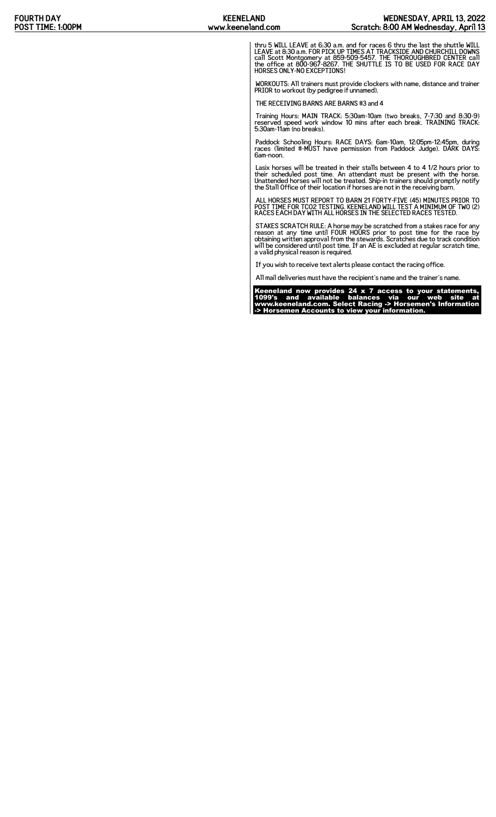thru 5 WILL LEAVE at 6:30 a.m. and for races 6 thru the last the shuttle WILL<br>LEAVE at 8:30 a.m. FOR PICK UP TIMES AT TRACKSIDE AND CHURCHILL DOWNS<br>call Scott Montgomery at 859-509-5457. THE THOROUGHBRED CENTER call<br>the of

WORKOUTS: All trainers must provide clockers with name, distance and trainer PRIOR to workout (by pedigree if unnamed).

THE RECEIVING BARNS ARE BARNS #3 and 4

Training Hours: MAIN TRACK: 5:30am-10am (two breaks, 7-7:30 and 8:30-9) reserved speed work window 10 mins after each break. TRAINING TRACK: 5:30am-11am (no breaks).

Paddock Schooling Hours: RACE DAYS: 6am-10am, 12:05pm-12:45pm, during races (limited #-MUST have permission from Paddock Judge). DARK DAYS: 6am-noon.

Lasix horses will be treated in their stalls between 4 to 4 1/2 hours prior to<br>their scheduled post time. An attendant must be present with the horse.<br>Unattended horses will not be treated. Ship-in trainers should promptly

ALL HORSES MUST REPORT TO BARN 21 FORTY-FIVE (45) MINUTES PRIOR TO POST TIME FOR TCO2 TESTING. KEENELAND WILL TEST A MINIMUM OF TWO (2) RACES EACH DAY WITH ALL HORSES IN THE SELECTED RACES TESTED.

STAKES SCRATCH RULE: A horse may be scratched from a stakes race for any<br>reason at any time until FOUR HOURS prior to post time for the race by<br>obtaining written approval from the stewards. Scratches due to track condition

If you wish to receive text alerts please contact the racing office.

All mail deliveries must have the recipient's name and the trainer's name.

Keeneland now provides 24 x 7 access to your statements, 1099's and available balances via our web site at www.keeneland.com. Select Racing -> Horsemen's Information -> Horsemen Accounts to view your information.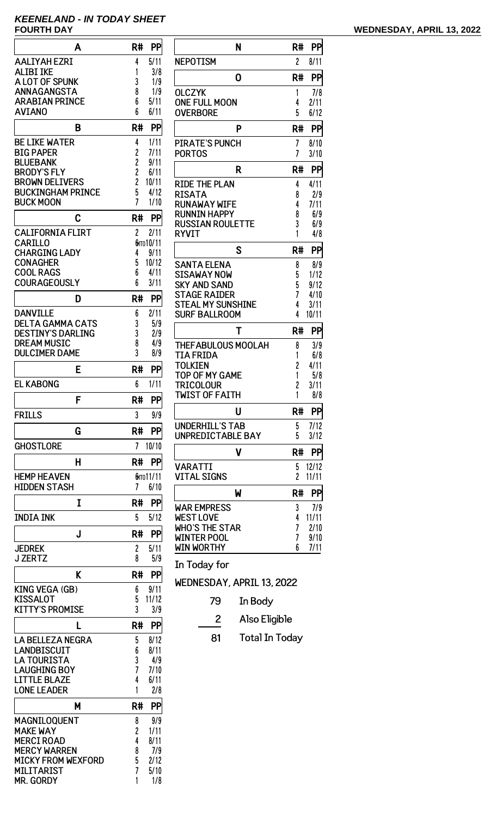# **KEENELAND - IN TODAY SHEET**

| A                                                   | PP<br>R#                         |            |
|-----------------------------------------------------|----------------------------------|------------|
| <b>AALIYAH EZRI</b>                                 | 5/11<br>4                        | N          |
| <b>ALIBI IKE</b><br>A LOT OF SPUNK                  | 1<br>3/8<br>3<br>1/9             |            |
| ANNAGANGSTA                                         | 8<br>1/9                         | (          |
| <b>ARABIAN PRINCE</b>                               | 6<br>5/11                        | Ó          |
| <b>AVIANO</b>                                       | 6<br>6/11                        | Ó          |
| B                                                   | PP<br>R#                         |            |
| <b>BE LIKE WATER</b><br><b>BIG PAPER</b>            | 1/11<br>4                        | F          |
| <b>BLUEBANK</b>                                     | 2<br>2<br>2<br>2<br>7/11<br>9/11 | F          |
| <b>BRODY'S FLY</b>                                  | 6/11                             |            |
| <b>BROWN DELIVERS</b><br><b>BUCKINGHAM PRINCE</b>   | 10/11<br>5<br>4/12               | F          |
| <b>BUCK MOON</b>                                    | 7<br>1/10                        | F<br>F     |
| C                                                   | R#<br>PP                         | F          |
| <b>CALIFORNIA FLIRT</b>                             | $\overline{c}$<br>2/11           | F<br>F     |
| <b>CARILLO</b>                                      | бито 10/11                       |            |
| <b>CHARGING LADY</b><br><b>CONAGHER</b>             | 9/11<br>4<br>5<br>10/12          |            |
| <b>COOL RAGS</b>                                    | 6<br>4/11                        |            |
| <b>COURAGEOUSLY</b>                                 | 6<br>3/11                        |            |
| D                                                   | R#<br>PP                         | ימ ומ ומ ה |
| <b>DANVILLE</b>                                     | 2/11<br>6                        |            |
| <b>DELTA GAMMA CATS</b><br><b>DESTINY'S DARLING</b> | 3<br>5/9<br>3<br>2/9             |            |
| <b>DREAM MUSIC</b>                                  | 8<br>4/9                         |            |
| <b>DULCIMER DAME</b>                                | 3<br>8/9                         |            |
| E                                                   | R#<br>PP                         |            |
| <b>EL KABONG</b>                                    | 6<br>1/11                        |            |
| F                                                   | PP<br>R#                         |            |
| <b>FRILLS</b>                                       | 3<br>9/9                         |            |
| G                                                   | <b>PP</b><br>R#                  |            |
| <b>GHOSTLORE</b>                                    | 7<br>10/10                       |            |
| н                                                   | <b>PP</b><br>R#                  |            |
| <b>HEMP HEAVEN</b><br>HIDDEN STASH                  | бито 11/11<br>6/10<br>7          |            |
| I                                                   | R#<br>PP                         |            |
| <b>INDIA INK</b>                                    | 5<br>5/12                        |            |
| J                                                   | R#<br>PP                         |            |
| <b>JEDREK</b>                                       | $\overline{c}$<br>5/11           |            |
| <b>J ZERTZ</b>                                      | 8<br>5/9                         | I          |
| K                                                   | R#<br>PP                         | V          |
| KING VEGA (GB)                                      | 9/11<br>6                        |            |
| KISSALOT<br>KITTY'S PROMISE                         | 5<br>11/12<br>3<br>3/9           |            |
| L                                                   | R#<br>PP                         |            |
| LA BELLEZA NEGRA                                    | 5<br>8/12                        |            |
| LANDBISCUIT                                         | 6<br>8/11                        |            |
| <b>LA TOURISTA</b><br><b>LAUGHING BOY</b>           | 3<br>4/9<br>7<br>7/10            |            |
| LITTLE BLAZE                                        | 4<br>6/11                        |            |
| <b>LONE LEADER</b>                                  | 2/8<br>1                         |            |
| М                                                   | R#<br>PP                         |            |
| MAGNILOQUENT                                        | 9/9<br>8                         |            |
| <b>MAKE WAY</b><br>MERCI ROAD                       | 2<br>1/11<br>4<br>8/11           |            |
| <b>MERCY WARREN</b>                                 | 8<br>7/9                         |            |
| MICKY FROM WEXFORD                                  | 5<br>2/12                        |            |
| MILITARIST<br><b>MR. GORDY</b>                      | 5/10<br>1/8<br>1                 |            |

| N                                          | R#             | PP            |
|--------------------------------------------|----------------|---------------|
| <b>NEPOTISM</b>                            | $\overline{c}$ | 8/11          |
| 0                                          | R#             | PP            |
| <b>OLCZYK</b>                              | 1              | 7/8           |
| <b>ONE FULL MOON</b>                       | 4              | 2/11          |
| <b>OVERBORE</b>                            | 5              | 6/12          |
| P                                          | R#             | PP            |
| <b>PIRATE'S PUNCH</b>                      | 7              | 8/10          |
| <b>PORTOS</b>                              | 7              | 3/10          |
| R                                          | R#             | PP            |
| RIDE THE PLAN                              | 4              | 4/11          |
| RISATA                                     | 8              | 2/9           |
| <b>RUNAWAY WIFE</b><br><b>RUNNIN HAPPY</b> | 4<br>8         | 7/11<br>6/9   |
| <b>RUSSIAN ROULETTE</b>                    | 3              | 6/9           |
| <b>RYVIT</b>                               | 1              | 4/8           |
| S                                          | R#             | PP            |
| <b>SANTA ELENA</b>                         | 8              | 8/9           |
| SISAWAY NOW                                | 5              | 1/12          |
| SKY AND SAND                               | 5              | 9/12          |
| <b>STAGE RAIDER</b>                        | 7              | 4/10          |
| <b>STEAL MY SUNSHINE</b>                   | 4<br>4         | 3/11<br>10/11 |
| <b>SURF BALLROOM</b>                       |                |               |
| Τ                                          | R#             | PP            |
| THEFABULOUS MOOLAH                         | 8              | 3/9           |
| TIA FRIDA                                  | 1              | 6/8           |
| TOLKIEN                                    | 2              | 4/11          |
| TOP OF MY GAME<br>TRICOLOUR                | 1<br>2         | 5/8<br>3/11   |
| <b>TWIST OF FAITH</b>                      | 1              | 8/8           |
| U                                          | R#             | PP            |
| <b>UNDERHILL'S TAB</b>                     | 5              | 7/12          |
| UNPREDICTABLE BAY                          | 5              | 3/12          |
| ۷                                          | R#             | PP            |
| VARATTI                                    | 5              | 12/12         |
| <b>VITAL SIGNS</b>                         | $\overline{c}$ | 11/11         |
| W                                          | R#             | PP            |
| <b>WAR EMPRESS</b>                         | 3              | 7/9           |
| <b>WEST LOVE</b>                           | 4              | 11/11         |
| WHO'S THE STAR                             | 7              | 2/10          |
| <b>WINTER POOL</b><br>WIN WORTHY           | 7<br>6         | 9/10          |
|                                            |                | 7/11          |

In Today for

WEDNESDAY, APRIL 13, 2022

- 79 In Body
- 2 Also Eligible
- 81 Total In Today